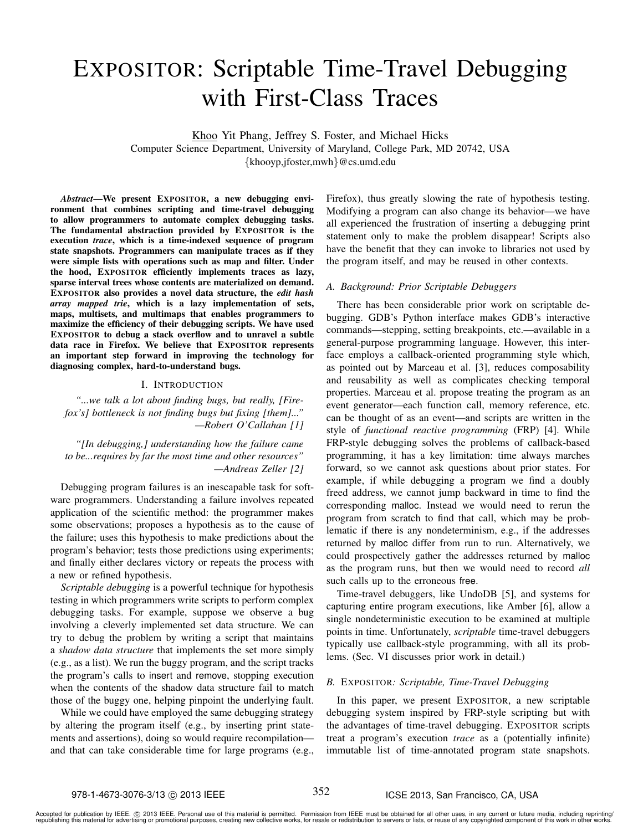# EXPOSITOR: Scriptable Time-Travel Debugging with First-Class Traces

Khoo Yit Phang, Jeffrey S. Foster, and Michael Hicks Computer Science Department, University of Maryland, College Park, MD 20742, USA {khooyp,jfoster,mwh}@cs.umd.edu

*Abstract*—We present EXPOSITOR, a new debugging environment that combines scripting and time-travel debugging to allow programmers to automate complex debugging tasks. The fundamental abstraction provided by EXPOSITOR is the execution *trace*, which is a time-indexed sequence of program state snapshots. Programmers can manipulate traces as if they were simple lists with operations such as map and filter. Under the hood, EXPOSITOR efficiently implements traces as lazy, sparse interval trees whose contents are materialized on demand. EXPOSITOR also provides a novel data structure, the *edit hash array mapped trie*, which is a lazy implementation of sets, maps, multisets, and multimaps that enables programmers to maximize the efficiency of their debugging scripts. We have used EXPOSITOR to debug a stack overflow and to unravel a subtle data race in Firefox. We believe that EXPOSITOR represents an important step forward in improving the technology for diagnosing complex, hard-to-understand bugs.

#### I. INTRODUCTION

*"...we talk a lot about finding bugs, but really, [Firefox's] bottleneck is not finding bugs but fixing [them]..." —Robert O'Callahan [1]*

*"[In debugging,] understanding how the failure came to be...requires by far the most time and other resources" —Andreas Zeller [2]*

Debugging program failures is an inescapable task for software programmers. Understanding a failure involves repeated application of the scientific method: the programmer makes some observations; proposes a hypothesis as to the cause of the failure; uses this hypothesis to make predictions about the program's behavior; tests those predictions using experiments; and finally either declares victory or repeats the process with a new or refined hypothesis.

*Scriptable debugging* is a powerful technique for hypothesis testing in which programmers write scripts to perform complex debugging tasks. For example, suppose we observe a bug involving a cleverly implemented set data structure. We can try to debug the problem by writing a script that maintains a *shadow data structure* that implements the set more simply (e.g., as a list). We run the buggy program, and the script tracks the program's calls to insert and remove, stopping execution when the contents of the shadow data structure fail to match those of the buggy one, helping pinpoint the underlying fault.

While we could have employed the same debugging strategy by altering the program itself (e.g., by inserting print statements and assertions), doing so would require recompilation and that can take considerable time for large programs (e.g.,

Firefox), thus greatly slowing the rate of hypothesis testing. Modifying a program can also change its behavior—we have all experienced the frustration of inserting a debugging print statement only to make the problem disappear! Scripts also have the benefit that they can invoke to libraries not used by the program itself, and may be reused in other contexts.

# *A. Background: Prior Scriptable Debuggers*

There has been considerable prior work on scriptable debugging. GDB's Python interface makes GDB's interactive commands—stepping, setting breakpoints, etc.—available in a general-purpose programming language. However, this interface employs a callback-oriented programming style which, as pointed out by Marceau et al. [3], reduces composability and reusability as well as complicates checking temporal properties. Marceau et al. propose treating the program as an event generator—each function call, memory reference, etc. can be thought of as an event—and scripts are written in the style of *functional reactive programming* (FRP) [4]. While FRP-style debugging solves the problems of callback-based programming, it has a key limitation: time always marches forward, so we cannot ask questions about prior states. For example, if while debugging a program we find a doubly freed address, we cannot jump backward in time to find the corresponding malloc. Instead we would need to rerun the program from scratch to find that call, which may be problematic if there is any nondeterminism, e.g., if the addresses returned by malloc differ from run to run. Alternatively, we could prospectively gather the addresses returned by malloc as the program runs, but then we would need to record *all* such calls up to the erroneous free.

Time-travel debuggers, like UndoDB [5], and systems for capturing entire program executions, like Amber [6], allow a single nondeterministic execution to be examined at multiple points in time. Unfortunately, *scriptable* time-travel debuggers typically use callback-style programming, with all its problems. (Sec. VI discusses prior work in detail.)

# *B.* EXPOSITOR*: Scriptable, Time-Travel Debugging*

In this paper, we present EXPOSITOR, a new scriptable debugging system inspired by FRP-style scripting but with the advantages of time-travel debugging. EXPOSITOR scripts treat a program's execution *trace* as a (potentially infinite) immutable list of time-annotated program state snapshots.

### 978-1-4673-3076-3/13 ( $\odot$  2013 IEEE  $^{352}$  ICSE 2013, San Francisco, CA, USA

Accepted for publication by IEEE. ⓒ 2013 IEEE. Personal use of this material is permitted. Permission from IEEE must be obtained for all other uses, in any current or future media, including reprinting/<br>republishing this m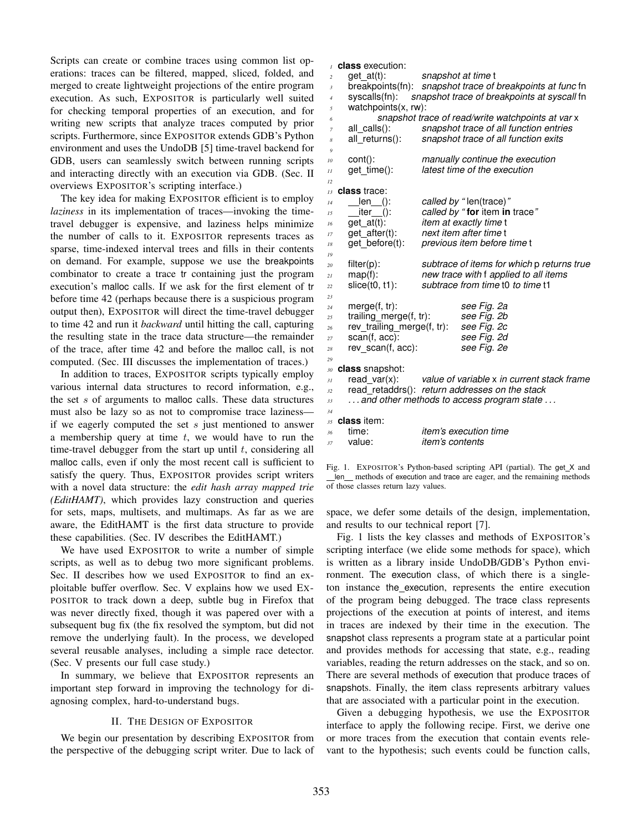Scripts can create or combine traces using common list operations: traces can be filtered, mapped, sliced, folded, and merged to create lightweight projections of the entire program execution. As such, EXPOSITOR is particularly well suited for checking temporal properties of an execution, and for writing new scripts that analyze traces computed by prior scripts. Furthermore, since EXPOSITOR extends GDB's Python environment and uses the UndoDB [5] time-travel backend for GDB, users can seamlessly switch between running scripts and interacting directly with an execution via GDB. (Sec. II overviews EXPOSITOR's scripting interface.)

The key idea for making EXPOSITOR efficient is to employ *laziness* in its implementation of traces—invoking the timetravel debugger is expensive, and laziness helps minimize the number of calls to it. EXPOSITOR represents traces as sparse, time-indexed interval trees and fills in their contents on demand. For example, suppose we use the breakpoints combinator to create a trace tr containing just the program execution's malloc calls. If we ask for the first element of tr before time 42 (perhaps because there is a suspicious program output then), EXPOSITOR will direct the time-travel debugger to time 42 and run it *backward* until hitting the call, capturing the resulting state in the trace data structure—the remainder of the trace, after time 42 and before the malloc call, is not computed. (Sec. III discusses the implementation of traces.)

In addition to traces, EXPOSITOR scripts typically employ various internal data structures to record information, e.g., the set s of arguments to malloc calls. These data structures must also be lazy so as not to compromise trace laziness if we eagerly computed the set s just mentioned to answer a membership query at time  $t$ , we would have to run the time-travel debugger from the start up until  $t$ , considering all malloc calls, even if only the most recent call is sufficient to satisfy the query. Thus, EXPOSITOR provides script writers with a novel data structure: the *edit hash array mapped trie (EditHAMT)*, which provides lazy construction and queries for sets, maps, multisets, and multimaps. As far as we are aware, the EditHAMT is the first data structure to provide these capabilities. (Sec. IV describes the EditHAMT.)

We have used EXPOSITOR to write a number of simple scripts, as well as to debug two more significant problems. Sec. II describes how we used EXPOSITOR to find an exploitable buffer overflow. Sec. V explains how we used EX-POSITOR to track down a deep, subtle bug in Firefox that was never directly fixed, though it was papered over with a subsequent bug fix (the fix resolved the symptom, but did not remove the underlying fault). In the process, we developed several reusable analyses, including a simple race detector. (Sec. V presents our full case study.)

In summary, we believe that EXPOSITOR represents an important step forward in improving the technology for diagnosing complex, hard-to-understand bugs.

# II. THE DESIGN OF EXPOSITOR

We begin our presentation by describing EXPOSITOR from the perspective of the debugging script writer. Due to lack of

 **class** execution: get at(t): *snapshot at time* t breakpoints(fn): *snapshot trace of breakpoints at func* fn syscalls(fn): *snapshot trace of breakpoints at syscall* fn watchpoints(x, rw): *snapshot trace of read/write watchpoints at var* x all calls(): *snapshot trace of all function entries* all returns(): *snapshot trace of all function exits 9* cont(): *manually continue the execution* get time(): *latest time of the execution 12* **class** trace: len (): *called by "* len(trace)*"* iter (): *called by "* **for** item **in** trace*"* get at(t): *item at exactly time* t get after(t): *next item after time* t get before(t): *previous item before time* t *19* filter(p): *subtrace of items for which* p *returns true* map(f): *new trace with* f *applied to all items* slice(t0, t1): *subtrace from time* t0 *to time* t1 *23* merge(f, tr): *see Fig. 2a* trailing\_merge(f, tr): rev trailing merge(f, tr): *see Fig. 2c* scan(f, acc): *see Fig. 2d* rev scan(f, acc): *see Fig. 2e 29* **class** snapshot: read var(x): *value of variable* x *in current stack frame* read retaddrs(): *return addresses on the stack . . . and other methods to access program state . . . 34* **class** item: time: *item's execution time* value: *item's contents*

Fig. 1. EXPOSITOR's Python-based scripting API (partial). The get\_X and len\_ methods of execution and trace are eager, and the remaining methods of those classes return lazy values.

space, we defer some details of the design, implementation, and results to our technical report [7].

Fig. 1 lists the key classes and methods of EXPOSITOR's scripting interface (we elide some methods for space), which is written as a library inside UndoDB/GDB's Python environment. The execution class, of which there is a singleton instance the execution, represents the entire execution of the program being debugged. The trace class represents projections of the execution at points of interest, and items in traces are indexed by their time in the execution. The snapshot class represents a program state at a particular point and provides methods for accessing that state, e.g., reading variables, reading the return addresses on the stack, and so on. There are several methods of execution that produce traces of snapshots. Finally, the item class represents arbitrary values that are associated with a particular point in the execution.

Given a debugging hypothesis, we use the EXPOSITOR interface to apply the following recipe. First, we derive one or more traces from the execution that contain events relevant to the hypothesis; such events could be function calls,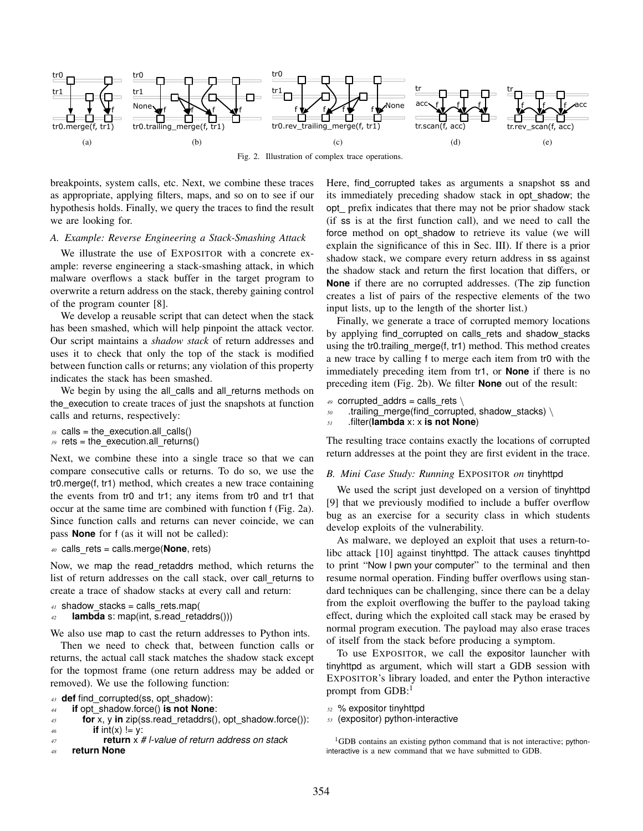

Fig. 2. Illustration of complex trace operations.

breakpoints, system calls, etc. Next, we combine these traces as appropriate, applying filters, maps, and so on to see if our hypothesis holds. Finally, we query the traces to find the result we are looking for.

# *A. Example: Reverse Engineering a Stack-Smashing Attack*

We illustrate the use of EXPOSITOR with a concrete example: reverse engineering a stack-smashing attack, in which malware overflows a stack buffer in the target program to overwrite a return address on the stack, thereby gaining control of the program counter [8].

We develop a reusable script that can detect when the stack has been smashed, which will help pinpoint the attack vector. Our script maintains a *shadow stack* of return addresses and uses it to check that only the top of the stack is modified between function calls or returns; any violation of this property indicates the stack has been smashed.

We begin by using the all\_calls and all\_returns methods on the execution to create traces of just the snapshots at function calls and returns, respectively:

- $38$  calls = the execution.all calls()
- *<sup>39</sup>* rets = the execution.all returns()

Next, we combine these into a single trace so that we can compare consecutive calls or returns. To do so, we use the tr0.merge(f, tr1) method, which creates a new trace containing the events from tr0 and tr1; any items from tr0 and tr1 that occur at the same time are combined with function f (Fig. 2a). Since function calls and returns can never coincide, we can pass **None** for f (as it will not be called):

*<sup>40</sup>* calls rets = calls.merge(**None**, rets)

Now, we map the read retaddrs method, which returns the list of return addresses on the call stack, over call returns to create a trace of shadow stacks at every call and return:

```
41 shadow_stacks = calls_rets.map(
```

```
42 lambda s: map(int, s.read_retaddrs()))
```
We also use map to cast the return addresses to Python ints.

Then we need to check that, between function calls or returns, the actual call stack matches the shadow stack except for the topmost frame (one return address may be added or removed). We use the following function:

```
43 def find corrupted(ss, opt shadow):
```

```
44 if opt shadow.force() is not None:
```

```
45 for x, y in zip(ss.read retaddrs(), opt shadow.force()):
\frac{46}{ } if int(x) \vert = v:
```

```
47 return x # l-value of return address on stack
```

```
48 return None
```
Here, find\_corrupted takes as arguments a snapshot ss and its immediately preceding shadow stack in opt\_shadow; the opt prefix indicates that there may not be prior shadow stack (if ss is at the first function call), and we need to call the force method on opt shadow to retrieve its value (we will explain the significance of this in Sec. III). If there is a prior shadow stack, we compare every return address in ss against the shadow stack and return the first location that differs, or **None** if there are no corrupted addresses. (The zip function creates a list of pairs of the respective elements of the two input lists, up to the length of the shorter list.)

Finally, we generate a trace of corrupted memory locations by applying find\_corrupted on calls\_rets and shadow\_stacks using the tr0.trailing merge(f, tr1) method. This method creates a new trace by calling f to merge each item from tr0 with the immediately preceding item from tr1, or **None** if there is no preceding item (Fig. 2b). We filter **None** out of the result:

```
49 corrupted addrs = calls rets \setminus
```

```
50 .trailing merge(find corrupted, shadow stacks) \
```
*<sup>51</sup>* .filter(**lambda** x: x **is not None**)

The resulting trace contains exactly the locations of corrupted return addresses at the point they are first evident in the trace.

# *B. Mini Case Study: Running* EXPOSITOR *on* tinyhttpd

We used the script just developed on a version of tinyhttpd [9] that we previously modified to include a buffer overflow bug as an exercise for a security class in which students develop exploits of the vulnerability.

As malware, we deployed an exploit that uses a return-tolibc attack [10] against tinyhttpd. The attack causes tinyhttpd to print "Now I pwn your computer" to the terminal and then resume normal operation. Finding buffer overflows using standard techniques can be challenging, since there can be a delay from the exploit overflowing the buffer to the payload taking effect, during which the exploited call stack may be erased by normal program execution. The payload may also erase traces of itself from the stack before producing a symptom.

To use EXPOSITOR, we call the expositor launcher with tinyhttpd as argument, which will start a GDB session with EXPOSITOR's library loaded, and enter the Python interactive prompt from  $GDB$ :<sup>1</sup>

```
52 % expositor tinyhttpd
```
*<sup>53</sup>* (expositor) python-interactive

<sup>&</sup>lt;sup>1</sup>GDB contains an existing python command that is not interactive; pythoninteractive is a new command that we have submitted to GDB.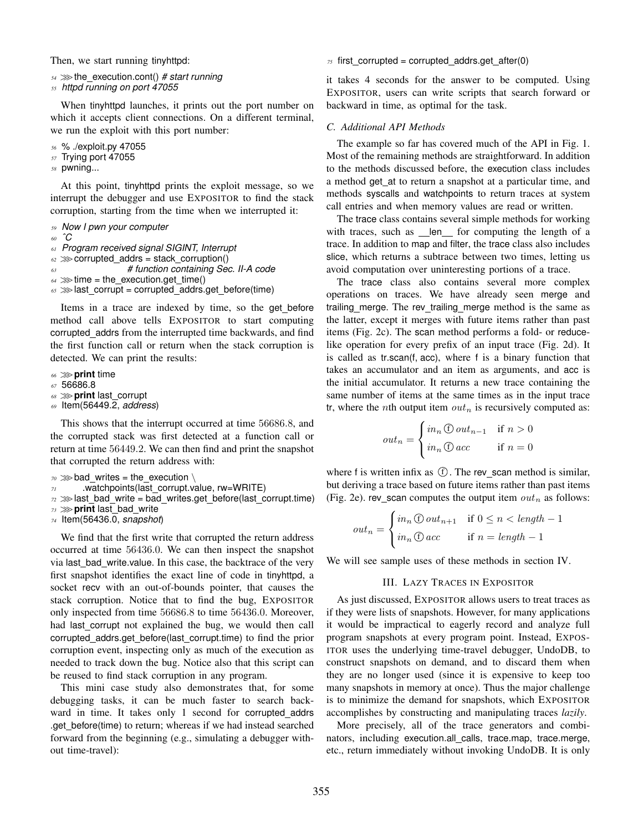Then, we start running tinyhttpd:

*<sup>54</sup>* >>>the execution.cont() *# start running*

```
55 httpd running on port 47055
```
When tinyhttpd launches, it prints out the port number on which it accepts client connections. On a different terminal, we run the exploit with this port number:

*<sup>56</sup>* % ./exploit.py 47055

*<sup>57</sup>* Trying port 47055

*<sup>58</sup>* pwning...

At this point, tinyhttpd prints the exploit message, so we interrupt the debugger and use EXPOSITOR to find the stack corruption, starting from the time when we interrupted it:

```
59 Now I pwn your computer
```
*<sup>60</sup> ˆC*

*<sup>61</sup> Program received signal SIGINT, Interrupt*

 $62 \gg$  corrupted addrs = stack corruption()

*<sup>63</sup> # function containing Sec. II-A code*

```
64 \gg \text{time} = \text{the execution.get time}()
```
65 >> last\_corrupt = corrupted\_addrs.get\_before(time)

Items in a trace are indexed by time, so the get before method call above tells EXPOSITOR to start computing corrupted addrs from the interrupted time backwards, and find the first function call or return when the stack corruption is detected. We can print the results:

- *<sup>66</sup>* >>>**print** time
- *<sup>67</sup>* 56686.8
- *<sup>68</sup>* >>>**print** last corrupt
- *<sup>69</sup>* Item(56449.2, *address*)

This shows that the interrupt occurred at time 56686.8, and the corrupted stack was first detected at a function call or return at time 56449.2. We can then find and print the snapshot that corrupted the return address with:

```
70 \gg bad writes = the execution \
```
- *<sup>71</sup>* .watchpoints(last corrupt.value, rw=WRITE)
- $72 \gg$ last bad write = bad writes.get before(last corrupt.time)

```
73 >>>print last bad write
```
*<sup>74</sup>* Item(56436.0, *snapshot*)

We find that the first write that corrupted the return address occurred at time 56436.0. We can then inspect the snapshot via last bad write.value. In this case, the backtrace of the very first snapshot identifies the exact line of code in tinyhttpd, a socket recv with an out-of-bounds pointer, that causes the stack corruption. Notice that to find the bug, EXPOSITOR only inspected from time 56686.8 to time 56436.0. Moreover, had last corrupt not explained the bug, we would then call corrupted\_addrs.get\_before(last\_corrupt.time) to find the prior corruption event, inspecting only as much of the execution as needed to track down the bug. Notice also that this script can be reused to find stack corruption in any program.

This mini case study also demonstrates that, for some debugging tasks, it can be much faster to search backward in time. It takes only 1 second for corrupted addrs .get before(time) to return; whereas if we had instead searched forward from the beginning (e.g., simulating a debugger without time-travel):

 $75$  first corrupted = corrupted addrs.get after(0)

it takes 4 seconds for the answer to be computed. Using EXPOSITOR, users can write scripts that search forward or backward in time, as optimal for the task.

# *C. Additional API Methods*

The example so far has covered much of the API in Fig. 1. Most of the remaining methods are straightforward. In addition to the methods discussed before, the execution class includes a method get at to return a snapshot at a particular time, and methods syscalls and watchpoints to return traces at system call entries and when memory values are read or written.

The trace class contains several simple methods for working with traces, such as len for computing the length of a trace. In addition to map and filter, the trace class also includes slice, which returns a subtrace between two times, letting us avoid computation over uninteresting portions of a trace.

The trace class also contains several more complex operations on traces. We have already seen merge and trailing merge. The rev trailing merge method is the same as the latter, except it merges with future items rather than past items (Fig. 2c). The scan method performs a fold- or reducelike operation for every prefix of an input trace (Fig. 2d). It is called as tr.scan(f, acc), where f is a binary function that takes an accumulator and an item as arguments, and acc is the initial accumulator. It returns a new trace containing the same number of items at the same times as in the input trace tr, where the *n*th output item  $out_n$  is recursively computed as:

$$
out_n = \begin{cases} in_n \oplus out_{n-1} & \text{if } n > 0\\ in_n \oplus acc & \text{if } n = 0 \end{cases}
$$

where f is written infix as  $\circled{f}$ . The rev\_scan method is similar, but deriving a trace based on future items rather than past items (Fig. 2e). rev\_scan computes the output item  $out_n$  as follows:

$$
out_n = \begin{cases} in_n \oplus out_{n+1} & \text{if } 0 \le n < length - 1 \\ in_n \oplus acc & \text{if } n = length - 1 \end{cases}
$$

We will see sample uses of these methods in section IV.

## III. LAZY TRACES IN EXPOSITOR

As just discussed, EXPOSITOR allows users to treat traces as if they were lists of snapshots. However, for many applications it would be impractical to eagerly record and analyze full program snapshots at every program point. Instead, EXPOS-ITOR uses the underlying time-travel debugger, UndoDB, to construct snapshots on demand, and to discard them when they are no longer used (since it is expensive to keep too many snapshots in memory at once). Thus the major challenge is to minimize the demand for snapshots, which EXPOSITOR accomplishes by constructing and manipulating traces *lazily*.

More precisely, all of the trace generators and combinators, including execution.all calls, trace.map, trace.merge, etc., return immediately without invoking UndoDB. It is only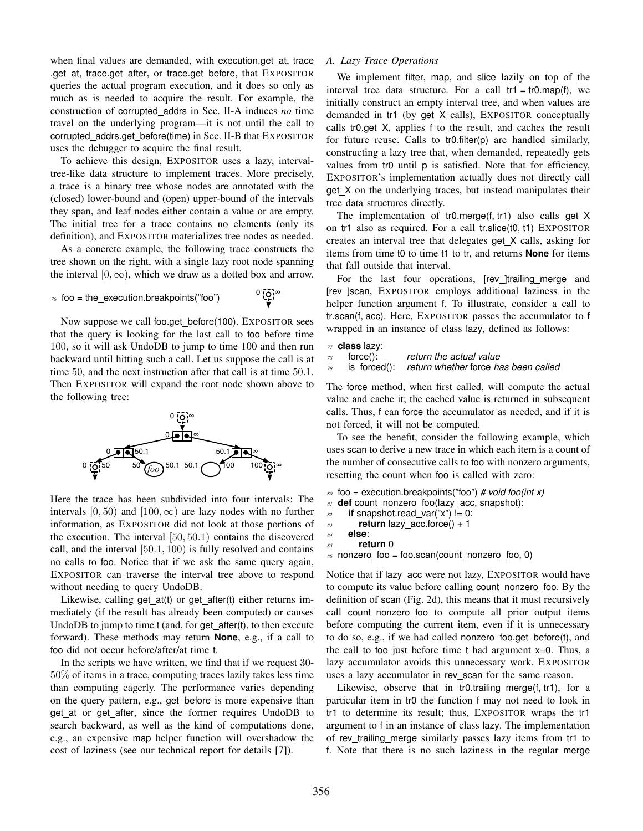when final values are demanded, with execution.get at, trace .get at, trace.get after, or trace.get before, that EXPOSITOR queries the actual program execution, and it does so only as much as is needed to acquire the result. For example, the construction of corrupted addrs in Sec. II-A induces *no* time travel on the underlying program—it is not until the call to corrupted addrs.get before(time) in Sec. II-B that EXPOSITOR uses the debugger to acquire the final result.

To achieve this design, EXPOSITOR uses a lazy, intervaltree-like data structure to implement traces. More precisely, a trace is a binary tree whose nodes are annotated with the (closed) lower-bound and (open) upper-bound of the intervals they span, and leaf nodes either contain a value or are empty. The initial tree for a trace contains no elements (only its definition), and EXPOSITOR materializes tree nodes as needed.

As a concrete example, the following trace constructs the tree shown on the right, with a single lazy root node spanning the interval  $[0, \infty)$ , which we draw as a dotted box and arrow.

 $76$  foo = the\_execution.breakpoints("foo")

```
^0 \frac{1}{2}^{\circ}
```
Now suppose we call foo.get before(100). EXPOSITOR sees that the query is looking for the last call to foo before time 100, so it will ask UndoDB to jump to time 100 and then run backward until hitting such a call. Let us suppose the call is at time 50, and the next instruction after that call is at time 50.1. Then EXPOSITOR will expand the root node shown above to the following tree:



Here the trace has been subdivided into four intervals: The intervals  $[0, 50)$  and  $[100, \infty)$  are lazy nodes with no further information, as EXPOSITOR did not look at those portions of the execution. The interval [50, 50.1) contains the discovered call, and the interval [50.1, 100) is fully resolved and contains no calls to foo. Notice that if we ask the same query again, EXPOSITOR can traverse the interval tree above to respond without needing to query UndoDB.

Likewise, calling get at(t) or get after(t) either returns immediately (if the result has already been computed) or causes UndoDB to jump to time t (and, for get after(t), to then execute forward). These methods may return **None**, e.g., if a call to foo did not occur before/after/at time t.

In the scripts we have written, we find that if we request 30- 50% of items in a trace, computing traces lazily takes less time than computing eagerly. The performance varies depending on the query pattern, e.g., get before is more expensive than get at or get after, since the former requires UndoDB to search backward, as well as the kind of computations done, e.g., an expensive map helper function will overshadow the cost of laziness (see our technical report for details [7]).

## *A. Lazy Trace Operations*

We implement filter, map, and slice lazily on top of the interval tree data structure. For a call  $tr1 = tr0 \cdot map(f)$ , we initially construct an empty interval tree, and when values are demanded in tr1 (by get\_X calls), EXPOSITOR conceptually calls tr0.get X, applies f to the result, and caches the result for future reuse. Calls to tr0.filter(p) are handled similarly, constructing a lazy tree that, when demanded, repeatedly gets values from tr0 until p is satisfied. Note that for efficiency, EXPOSITOR's implementation actually does not directly call get X on the underlying traces, but instead manipulates their tree data structures directly.

The implementation of tr0.merge(f, tr1) also calls get X on tr1 also as required. For a call tr.slice(t0, t1) EXPOSITOR creates an interval tree that delegates get X calls, asking for items from time t0 to time t1 to tr, and returns **None** for items that fall outside that interval.

For the last four operations, [rev ]trailing merge and [rev ]scan, EXPOSITOR employs additional laziness in the helper function argument f. To illustrate, consider a call to tr.scan(f, acc). Here, EXPOSITOR passes the accumulator to f wrapped in an instance of class lazy, defined as follows:

```
77 class lazy:
```

```
78 force(): return the actual value
```

```
79 is forced(): return whether force has been called
```
The force method, when first called, will compute the actual value and cache it; the cached value is returned in subsequent calls. Thus, f can force the accumulator as needed, and if it is not forced, it will not be computed.

To see the benefit, consider the following example, which uses scan to derive a new trace in which each item is a count of the number of consecutive calls to foo with nonzero arguments, resetting the count when foo is called with zero:

```
80 foo = execution.breakpoints("foo") # void foo(int x)
```

```
81 def count nonzero foo(lazy acc, snapshot):
```

```
s_2 if snapshot.read_var("x") != 0:
```

```
83 return lazy acc.force() + 1
```

```
84 else:
85 return 0
```
86 nonzero\_foo = foo.scan(count\_nonzero\_foo, 0)

Notice that if lazy acc were not lazy, EXPOSITOR would have to compute its value before calling count nonzero foo. By the definition of scan (Fig. 2d), this means that it must recursively call count\_nonzero\_foo to compute all prior output items before computing the current item, even if it is unnecessary to do so, e.g., if we had called nonzero foo.get before(t), and the call to foo just before time t had argument x=0. Thus, a lazy accumulator avoids this unnecessary work. EXPOSITOR uses a lazy accumulator in rev\_scan for the same reason.

Likewise, observe that in tr0.trailing merge(f, tr1), for a particular item in tr0 the function f may not need to look in tr1 to determine its result; thus, EXPOSITOR wraps the tr1 argument to f in an instance of class lazy. The implementation of rev\_trailing\_merge similarly passes lazy items from tr1 to f. Note that there is no such laziness in the regular merge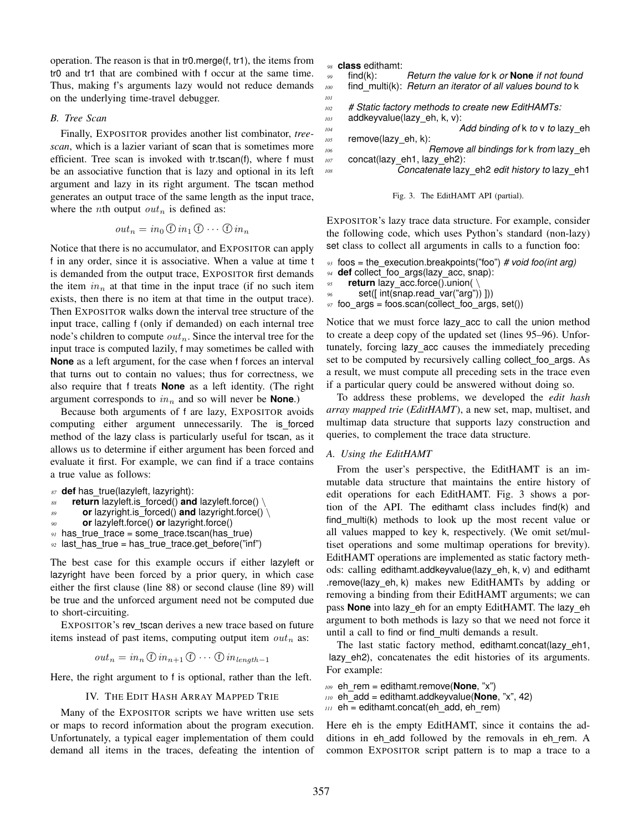operation. The reason is that in tr0.merge(f, tr1), the items from tr0 and tr1 that are combined with f occur at the same time. Thus, making f's arguments lazy would not reduce demands on the underlying time-travel debugger.

#### *B. Tree Scan*

Finally, EXPOSITOR provides another list combinator, *treescan*, which is a lazier variant of scan that is sometimes more efficient. Tree scan is invoked with tr.tscan(f), where f must be an associative function that is lazy and optional in its left argument and lazy in its right argument. The tscan method generates an output trace of the same length as the input trace, where the *n*th output  $out_n$  is defined as:

$$
out_n = in_0 \oplus in_1 \oplus \cdots \oplus in_n
$$

Notice that there is no accumulator, and EXPOSITOR can apply f in any order, since it is associative. When a value at time t is demanded from the output trace, EXPOSITOR first demands the item  $in_n$  at that time in the input trace (if no such item exists, then there is no item at that time in the output trace). Then EXPOSITOR walks down the interval tree structure of the input trace, calling f (only if demanded) on each internal tree node's children to compute  $out_n$ . Since the interval tree for the input trace is computed lazily, f may sometimes be called with **None** as a left argument, for the case when f forces an interval that turns out to contain no values; thus for correctness, we also require that f treats **None** as a left identity. (The right argument corresponds to  $in_n$  and so will never be **None**.)

Because both arguments of f are lazy, EXPOSITOR avoids computing either argument unnecessarily. The is forced method of the lazy class is particularly useful for tscan, as it allows us to determine if either argument has been forced and evaluate it first. For example, we can find if a trace contains a true value as follows:

 **def** has true(lazyleft, lazyright): **return** lazyleft.is forced() **and** lazyleft.force() \ **or** lazyright.is forced() **and** lazyright.force() \ **or** lazyleft.force() **or** lazyright.force() has true trace = some trace.tscan(has true) <sup>92</sup> last\_has\_true = has\_true\_trace.get\_before("inf")

The best case for this example occurs if either lazyleft or lazyright have been forced by a prior query, in which case either the first clause (line 88) or second clause (line 89) will be true and the unforced argument need not be computed due to short-circuiting.

EXPOSITOR's rev tscan derives a new trace based on future items instead of past items, computing output item  $out_n$  as:

$$
out_n = in_n \oplus in_{n+1} \oplus \cdots \oplus in_{length-1}
$$

Here, the right argument to f is optional, rather than the left.

#### IV. THE EDIT HASH ARRAY MAPPED TRIE

Many of the EXPOSITOR scripts we have written use sets or maps to record information about the program execution. Unfortunately, a typical eager implementation of them could demand all items in the traces, defeating the intention of *<sup>98</sup>* **class** edithamt:

```
99 find(k): Return the value for k or None if not found
100 find multi(k): Return an iterator of all values bound to k
101
```
- *<sup>102</sup> # Static factory methods to create new EditHAMTs:*
- *<sup>103</sup>* addkeyvalue(lazy eh, k, v): *<sup>104</sup> Add binding of* k *to* v *to* lazy eh

```
105 remove(lazy_eh, k):
106 Remove all bindings for k from lazy eh
```
*<sup>107</sup>* concat(lazy eh1, lazy eh2): *<sup>108</sup> Concatenate* lazy eh2 *edit history to* lazy eh1

```
Fig. 3. The EditHAMT API (partial).
```
EXPOSITOR's lazy trace data structure. For example, consider the following code, which uses Python's standard (non-lazy) set class to collect all arguments in calls to a function foo:

```
93 foos = the execution.breakpoints("foo") # void foo(int arg)
94 def collect_foo_args(lazy_acc, snap):
95 return lazy acc.force().union( \
96 set([ int(snap.read var("arg")) ]))
97 foo_args = foos.scan(collect_foo_args, set())
```
Notice that we must force lazy acc to call the union method to create a deep copy of the updated set (lines 95–96). Unfortunately, forcing lazy acc causes the immediately preceding set to be computed by recursively calling collect foo args. As a result, we must compute all preceding sets in the trace even if a particular query could be answered without doing so.

To address these problems, we developed the *edit hash array mapped trie* (*EditHAMT*), a new set, map, multiset, and multimap data structure that supports lazy construction and queries, to complement the trace data structure.

#### *A. Using the EditHAMT*

From the user's perspective, the EditHAMT is an immutable data structure that maintains the entire history of edit operations for each EditHAMT. Fig. 3 shows a portion of the API. The edithamt class includes find(k) and find\_multi(k) methods to look up the most recent value or all values mapped to key k, respectively. (We omit set/multiset operations and some multimap operations for brevity). EditHAMT operations are implemented as static factory methods: calling edithamt.addkeyvalue(lazy eh, k, v) and edithamt .remove(lazy eh, k) makes new EditHAMTs by adding or removing a binding from their EditHAMT arguments; we can pass None into lazy\_eh for an empty EditHAMT. The lazy\_eh argument to both methods is lazy so that we need not force it until a call to find or find multi demands a result.

The last static factory method, edithamt.concat(lazy eh1, lazy eh2), concatenates the edit histories of its arguments. For example:

```
109 eh rem = edithamt.remove(None, "x")
```

```
110 eh add = edithamt.addkeyvalue(None, "x", 42)
```

```
m eh = edithamt.concat(eh_add, eh_rem)
```
Here eh is the empty EditHAMT, since it contains the additions in eh\_add followed by the removals in eh\_rem. A common EXPOSITOR script pattern is to map a trace to a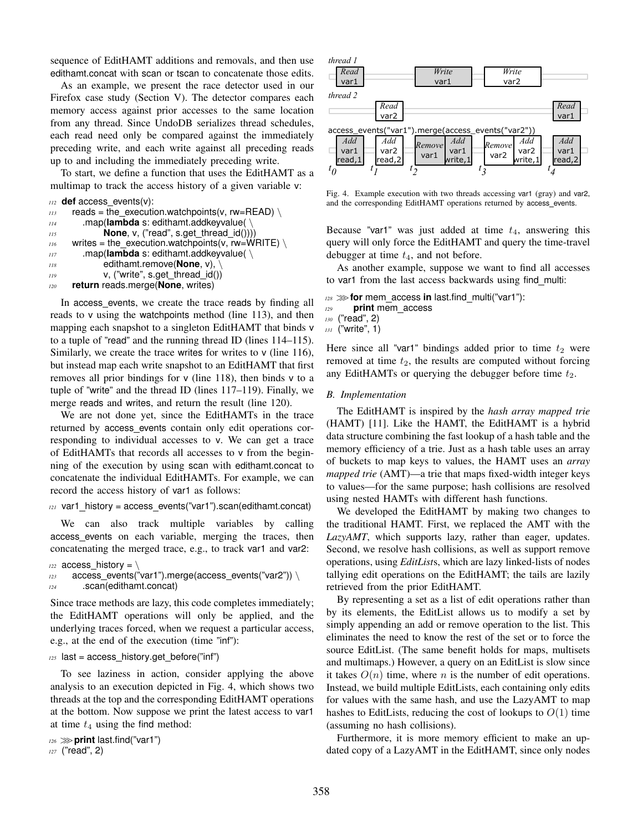sequence of EditHAMT additions and removals, and then use edithamt.concat with scan or tscan to concatenate those edits.

As an example, we present the race detector used in our Firefox case study (Section V). The detector compares each memory access against prior accesses to the same location from any thread. Since UndoDB serializes thread schedules, each read need only be compared against the immediately preceding write, and each write against all preceding reads up to and including the immediately preceding write.

To start, we define a function that uses the EditHAMT as a multimap to track the access history of a given variable v:

```
112 def access events(v):
```

```
113 reads = the_execution.watchpoints(v, rw=READ) \
114 .map(lambda s: edithamt.addkeyvalue( \
115 None, v, ("read", s.get_thread_id())))
116 writes = the_execution.watchpoints(v, rw=WRITE) \
117 .map(lambda s: edithamt.addkeyvalue( \
118 edithamt.remove(None, v), \
119 v, ("write", s.get thread id())
120 return reads.merge(None, writes)
```
In access events, we create the trace reads by finding all reads to v using the watchpoints method (line 113), and then mapping each snapshot to a singleton EditHAMT that binds v to a tuple of "read" and the running thread ID (lines 114–115). Similarly, we create the trace writes for writes to  $v$  (line 116), but instead map each write snapshot to an EditHAMT that first removes all prior bindings for v (line 118), then binds v to a tuple of "write" and the thread ID (lines 117–119). Finally, we merge reads and writes, and return the result (line 120).

We are not done yet, since the EditHAMTs in the trace returned by access events contain only edit operations corresponding to individual accesses to v. We can get a trace of EditHAMTs that records all accesses to v from the beginning of the execution by using scan with edithamt.concat to concatenate the individual EditHAMTs. For example, we can record the access history of var1 as follows:

```
121 var1 history = access events("var1").scan(edithamt.concat)
```
We can also track multiple variables by calling access events on each variable, merging the traces, then concatenating the merged trace, e.g., to track var1 and var2:

```
122 access history = \sqrt{ }123 access_events("var1").merge(access_events("var2")) \
```

```
124 .scan(edithamt.concat)
```
Since trace methods are lazy, this code completes immediately; the EditHAMT operations will only be applied, and the underlying traces forced, when we request a particular access, e.g., at the end of the execution (time "inf"):

# 125 last = access\_history.get\_before("inf")

To see laziness in action, consider applying the above analysis to an execution depicted in Fig. 4, which shows two threads at the top and the corresponding EditHAMT operations at the bottom. Now suppose we print the latest access to var1 at time  $t_4$  using the find method:

```
126 >>>print last.find("var1")
```
*<sup>127</sup>* ("read", 2)



Fig. 4. Example execution with two threads accessing var1 (gray) and var2, and the corresponding EditHAMT operations returned by access\_events.

Because "var1" was just added at time  $t_4$ , answering this query will only force the EditHAMT and query the time-travel debugger at time  $t_4$ , and not before.

As another example, suppose we want to find all accesses to var1 from the last access backwards using find multi:

- *<sup>128</sup>* >>>**for** mem access **in** last.find multi("var1"):
- *<sup>129</sup>* **print** mem access
- *<sup>130</sup>* ("read", 2)
- *<sup>131</sup>* ("write", 1)

Here since all "var1" bindings added prior to time  $t_2$  were removed at time  $t_2$ , the results are computed without forcing any EditHAMTs or querying the debugger before time  $t_2$ .

#### *B. Implementation*

The EditHAMT is inspired by the *hash array mapped trie* (HAMT) [11]. Like the HAMT, the EditHAMT is a hybrid data structure combining the fast lookup of a hash table and the memory efficiency of a trie. Just as a hash table uses an array of buckets to map keys to values, the HAMT uses an *array mapped trie* (AMT)—a trie that maps fixed-width integer keys to values—for the same purpose; hash collisions are resolved using nested HAMTs with different hash functions.

We developed the EditHAMT by making two changes to the traditional HAMT. First, we replaced the AMT with the *LazyAMT*, which supports lazy, rather than eager, updates. Second, we resolve hash collisions, as well as support remove operations, using *EditList*s, which are lazy linked-lists of nodes tallying edit operations on the EditHAMT; the tails are lazily retrieved from the prior EditHAMT.

By representing a set as a list of edit operations rather than by its elements, the EditList allows us to modify a set by simply appending an add or remove operation to the list. This eliminates the need to know the rest of the set or to force the source EditList. (The same benefit holds for maps, multisets and multimaps.) However, a query on an EditList is slow since it takes  $O(n)$  time, where n is the number of edit operations. Instead, we build multiple EditLists, each containing only edits for values with the same hash, and use the LazyAMT to map hashes to EditLists, reducing the cost of lookups to  $O(1)$  time (assuming no hash collisions).

Furthermore, it is more memory efficient to make an updated copy of a LazyAMT in the EditHAMT, since only nodes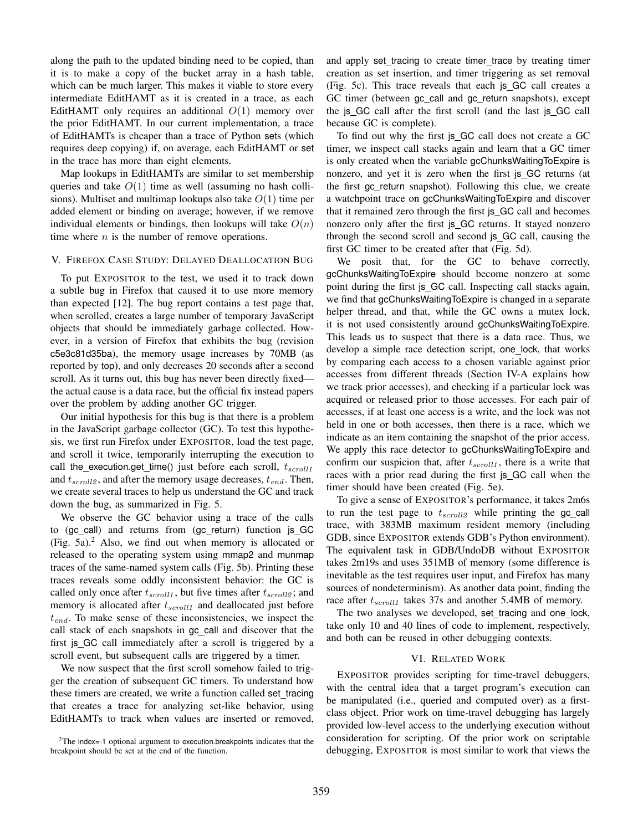along the path to the updated binding need to be copied, than it is to make a copy of the bucket array in a hash table, which can be much larger. This makes it viable to store every intermediate EditHAMT as it is created in a trace, as each EditHAMT only requires an additional  $O(1)$  memory over the prior EditHAMT. In our current implementation, a trace of EditHAMTs is cheaper than a trace of Python sets (which requires deep copying) if, on average, each EditHAMT or set in the trace has more than eight elements.

Map lookups in EditHAMTs are similar to set membership queries and take  $O(1)$  time as well (assuming no hash collisions). Multiset and multimap lookups also take  $O(1)$  time per added element or binding on average; however, if we remove individual elements or bindings, then lookups will take  $O(n)$ time where  $n$  is the number of remove operations.

#### V. FIREFOX CASE STUDY: DELAYED DEALLOCATION BUG

To put EXPOSITOR to the test, we used it to track down a subtle bug in Firefox that caused it to use more memory than expected [12]. The bug report contains a test page that, when scrolled, creates a large number of temporary JavaScript objects that should be immediately garbage collected. However, in a version of Firefox that exhibits the bug (revision c5e3c81d35ba), the memory usage increases by 70MB (as reported by top), and only decreases 20 seconds after a second scroll. As it turns out, this bug has never been directly fixed the actual cause is a data race, but the official fix instead papers over the problem by adding another GC trigger.

Our initial hypothesis for this bug is that there is a problem in the JavaScript garbage collector (GC). To test this hypothesis, we first run Firefox under EXPOSITOR, load the test page, and scroll it twice, temporarily interrupting the execution to call the execution.get time() just before each scroll,  $t_{scroll1}$ and  $t_{scroll2}$ , and after the memory usage decreases,  $t_{end}$ . Then, we create several traces to help us understand the GC and track down the bug, as summarized in Fig. 5.

We observe the GC behavior using a trace of the calls to (gc\_call) and returns from (gc\_return) function js\_GC (Fig. 5a). $<sup>2</sup>$  Also, we find out when memory is allocated or</sup> released to the operating system using mmap2 and munmap traces of the same-named system calls (Fig. 5b). Printing these traces reveals some oddly inconsistent behavior: the GC is called only once after  $t_{scroll1}$ , but five times after  $t_{scroll2}$ ; and memory is allocated after  $t_{scroll1}$  and deallocated just before  $t_{end}$ . To make sense of these inconsistencies, we inspect the call stack of each snapshots in gc call and discover that the first js GC call immediately after a scroll is triggered by a scroll event, but subsequent calls are triggered by a timer.

We now suspect that the first scroll somehow failed to trigger the creation of subsequent GC timers. To understand how these timers are created, we write a function called set tracing that creates a trace for analyzing set-like behavior, using EditHAMTs to track when values are inserted or removed, and apply set tracing to create timer trace by treating timer creation as set insertion, and timer triggering as set removal (Fig. 5c). This trace reveals that each js GC call creates a GC timer (between gc\_call and gc\_return snapshots), except the js GC call after the first scroll (and the last js GC call because GC is complete).

To find out why the first js GC call does not create a GC timer, we inspect call stacks again and learn that a GC timer is only created when the variable gcChunksWaitingToExpire is nonzero, and yet it is zero when the first js GC returns (at the first gc return snapshot). Following this clue, we create a watchpoint trace on gcChunksWaitingToExpire and discover that it remained zero through the first js\_GC call and becomes nonzero only after the first js GC returns. It stayed nonzero through the second scroll and second js GC call, causing the first GC timer to be created after that (Fig. 5d).

We posit that, for the GC to behave correctly, gcChunksWaitingToExpire should become nonzero at some point during the first js GC call. Inspecting call stacks again, we find that gcChunksWaitingToExpire is changed in a separate helper thread, and that, while the GC owns a mutex lock, it is not used consistently around gcChunksWaitingToExpire. This leads us to suspect that there is a data race. Thus, we develop a simple race detection script, one lock, that works by comparing each access to a chosen variable against prior accesses from different threads (Section IV-A explains how we track prior accesses), and checking if a particular lock was acquired or released prior to those accesses. For each pair of accesses, if at least one access is a write, and the lock was not held in one or both accesses, then there is a race, which we indicate as an item containing the snapshot of the prior access. We apply this race detector to gcChunksWaitingToExpire and confirm our suspicion that, after  $t_{scroll1}$ , there is a write that races with a prior read during the first js GC call when the timer should have been created (Fig. 5e).

To give a sense of EXPOSITOR's performance, it takes 2m6s to run the test page to  $t_{scroll2}$  while printing the gc\_call trace, with 383MB maximum resident memory (including GDB, since EXPOSITOR extends GDB's Python environment). The equivalent task in GDB/UndoDB without EXPOSITOR takes 2m19s and uses 351MB of memory (some difference is inevitable as the test requires user input, and Firefox has many sources of nondeterminism). As another data point, finding the race after  $t_{scroll1}$  takes 37s and another 5.4MB of memory.

The two analyses we developed, set\_tracing and one\_lock, take only 10 and 40 lines of code to implement, respectively, and both can be reused in other debugging contexts.

## VI. RELATED WORK

EXPOSITOR provides scripting for time-travel debuggers, with the central idea that a target program's execution can be manipulated (i.e., queried and computed over) as a firstclass object. Prior work on time-travel debugging has largely provided low-level access to the underlying execution without consideration for scripting. Of the prior work on scriptable debugging, EXPOSITOR is most similar to work that views the

<sup>&</sup>lt;sup>2</sup>The index=-1 optional argument to execution.breakpoints indicates that the breakpoint should be set at the end of the function.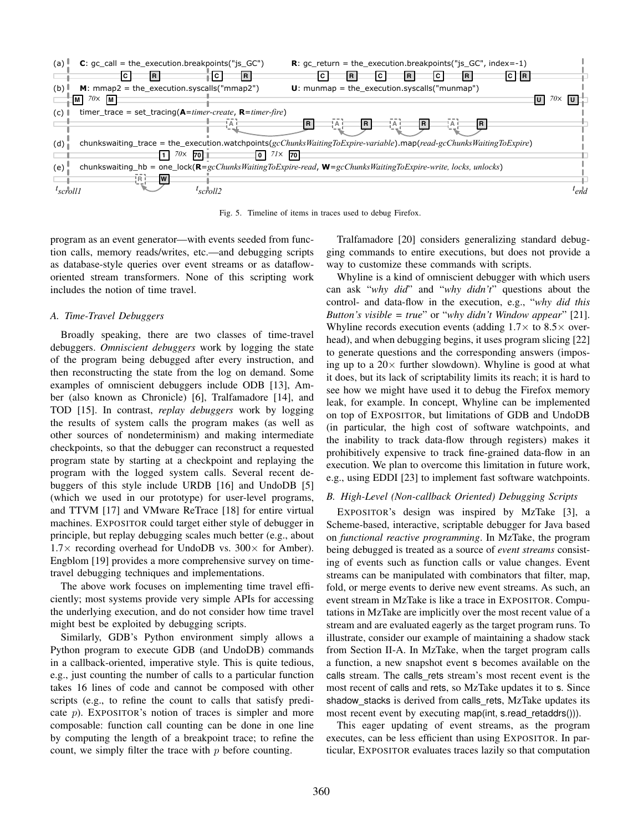

Fig. 5. Timeline of items in traces used to debug Firefox.

program as an event generator—with events seeded from function calls, memory reads/writes, etc.—and debugging scripts as database-style queries over event streams or as datafloworiented stream transformers. None of this scripting work includes the notion of time travel.

# *A. Time-Travel Debuggers*

Broadly speaking, there are two classes of time-travel debuggers. *Omniscient debuggers* work by logging the state of the program being debugged after every instruction, and then reconstructing the state from the log on demand. Some examples of omniscient debuggers include ODB [13], Amber (also known as Chronicle) [6], Tralfamadore [14], and TOD [15]. In contrast, *replay debuggers* work by logging the results of system calls the program makes (as well as other sources of nondeterminism) and making intermediate checkpoints, so that the debugger can reconstruct a requested program state by starting at a checkpoint and replaying the program with the logged system calls. Several recent debuggers of this style include URDB [16] and UndoDB [5] (which we used in our prototype) for user-level programs, and TTVM [17] and VMware ReTrace [18] for entire virtual machines. EXPOSITOR could target either style of debugger in principle, but replay debugging scales much better (e.g., about  $1.7\times$  recording overhead for UndoDB vs.  $300\times$  for Amber). Engblom [19] provides a more comprehensive survey on timetravel debugging techniques and implementations.

The above work focuses on implementing time travel efficiently; most systems provide very simple APIs for accessing the underlying execution, and do not consider how time travel might best be exploited by debugging scripts.

Similarly, GDB's Python environment simply allows a Python program to execute GDB (and UndoDB) commands in a callback-oriented, imperative style. This is quite tedious, e.g., just counting the number of calls to a particular function takes 16 lines of code and cannot be composed with other scripts (e.g., to refine the count to calls that satisfy predicate  $p$ ). EXPOSITOR's notion of traces is simpler and more composable: function call counting can be done in one line by computing the length of a breakpoint trace; to refine the count, we simply filter the trace with  $p$  before counting.

Tralfamadore [20] considers generalizing standard debugging commands to entire executions, but does not provide a way to customize these commands with scripts.

Whyline is a kind of omniscient debugger with which users can ask "*why did*" and "*why didn't*" questions about the control- and data-flow in the execution, e.g., "*why did this Button's visible = true*" or "*why didn't Window appear*" [21]. Whyline records execution events (adding  $1.7\times$  to  $8.5\times$  overhead), and when debugging begins, it uses program slicing [22] to generate questions and the corresponding answers (imposing up to a  $20\times$  further slowdown). Whyline is good at what it does, but its lack of scriptability limits its reach; it is hard to see how we might have used it to debug the Firefox memory leak, for example. In concept, Whyline can be implemented on top of EXPOSITOR, but limitations of GDB and UndoDB (in particular, the high cost of software watchpoints, and the inability to track data-flow through registers) makes it prohibitively expensive to track fine-grained data-flow in an execution. We plan to overcome this limitation in future work, e.g., using EDDI [23] to implement fast software watchpoints.

# *B. High-Level (Non-callback Oriented) Debugging Scripts*

EXPOSITOR's design was inspired by MzTake [3], a Scheme-based, interactive, scriptable debugger for Java based on *functional reactive programming*. In MzTake, the program being debugged is treated as a source of *event streams* consisting of events such as function calls or value changes. Event streams can be manipulated with combinators that filter, map, fold, or merge events to derive new event streams. As such, an event stream in MzTake is like a trace in EXPOSITOR. Computations in MzTake are implicitly over the most recent value of a stream and are evaluated eagerly as the target program runs. To illustrate, consider our example of maintaining a shadow stack from Section II-A. In MzTake, when the target program calls a function, a new snapshot event s becomes available on the calls stream. The calls rets stream's most recent event is the most recent of calls and rets, so MzTake updates it to s. Since shadow stacks is derived from calls rets, MzTake updates its most recent event by executing map(int, s.read\_retaddrs())).

This eager updating of event streams, as the program executes, can be less efficient than using EXPOSITOR. In particular, EXPOSITOR evaluates traces lazily so that computation